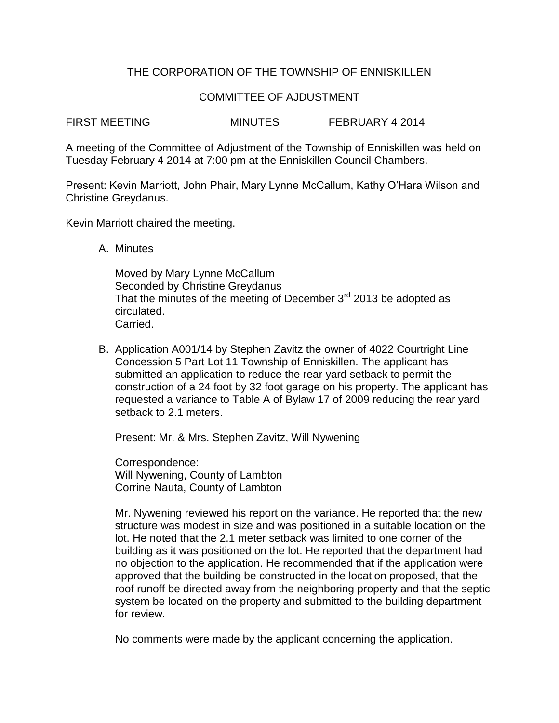## THE CORPORATION OF THE TOWNSHIP OF ENNISKILLEN

## COMMITTEE OF AJDUSTMENT

FIRST MEETING MINUTES FEBRUARY 4 2014

A meeting of the Committee of Adjustment of the Township of Enniskillen was held on Tuesday February 4 2014 at 7:00 pm at the Enniskillen Council Chambers.

Present: Kevin Marriott, John Phair, Mary Lynne McCallum, Kathy O'Hara Wilson and Christine Greydanus.

Kevin Marriott chaired the meeting.

A. Minutes

Moved by Mary Lynne McCallum Seconded by Christine Greydanus That the minutes of the meeting of December  $3<sup>rd</sup>$  2013 be adopted as circulated. Carried.

B. Application A001/14 by Stephen Zavitz the owner of 4022 Courtright Line Concession 5 Part Lot 11 Township of Enniskillen. The applicant has submitted an application to reduce the rear yard setback to permit the construction of a 24 foot by 32 foot garage on his property. The applicant has requested a variance to Table A of Bylaw 17 of 2009 reducing the rear yard setback to 2.1 meters.

Present: Mr. & Mrs. Stephen Zavitz, Will Nywening

Correspondence: Will Nywening, County of Lambton Corrine Nauta, County of Lambton

Mr. Nywening reviewed his report on the variance. He reported that the new structure was modest in size and was positioned in a suitable location on the lot. He noted that the 2.1 meter setback was limited to one corner of the building as it was positioned on the lot. He reported that the department had no objection to the application. He recommended that if the application were approved that the building be constructed in the location proposed, that the roof runoff be directed away from the neighboring property and that the septic system be located on the property and submitted to the building department for review.

No comments were made by the applicant concerning the application.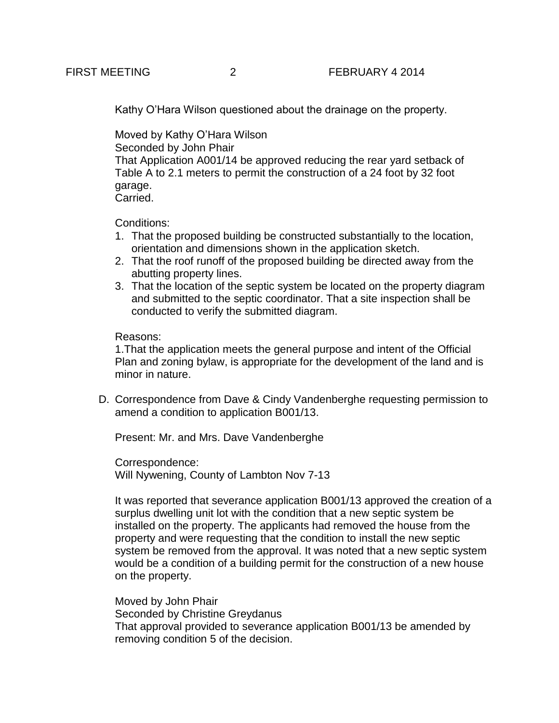Kathy O'Hara Wilson questioned about the drainage on the property.

Moved by Kathy O'Hara Wilson Seconded by John Phair

That Application A001/14 be approved reducing the rear yard setback of Table A to 2.1 meters to permit the construction of a 24 foot by 32 foot garage.

Carried.

Conditions:

- 1. That the proposed building be constructed substantially to the location, orientation and dimensions shown in the application sketch.
- 2. That the roof runoff of the proposed building be directed away from the abutting property lines.
- 3. That the location of the septic system be located on the property diagram and submitted to the septic coordinator. That a site inspection shall be conducted to verify the submitted diagram.

## Reasons:

1.That the application meets the general purpose and intent of the Official Plan and zoning bylaw, is appropriate for the development of the land and is minor in nature.

D. Correspondence from Dave & Cindy Vandenberghe requesting permission to amend a condition to application B001/13.

Present: Mr. and Mrs. Dave Vandenberghe

Correspondence: Will Nywening, County of Lambton Nov 7-13

It was reported that severance application B001/13 approved the creation of a surplus dwelling unit lot with the condition that a new septic system be installed on the property. The applicants had removed the house from the property and were requesting that the condition to install the new septic system be removed from the approval. It was noted that a new septic system would be a condition of a building permit for the construction of a new house on the property.

Moved by John Phair Seconded by Christine Greydanus That approval provided to severance application B001/13 be amended by removing condition 5 of the decision.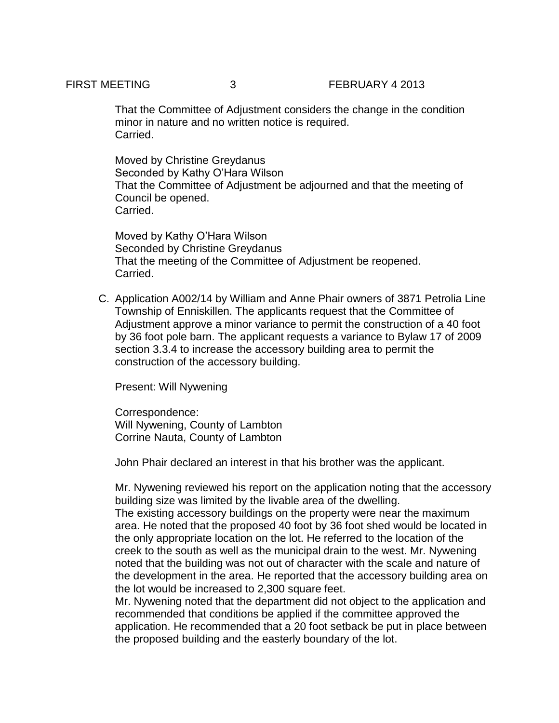That the Committee of Adjustment considers the change in the condition minor in nature and no written notice is required. Carried.

Moved by Christine Greydanus Seconded by Kathy O'Hara Wilson That the Committee of Adjustment be adjourned and that the meeting of Council be opened. Carried.

Moved by Kathy O'Hara Wilson Seconded by Christine Greydanus That the meeting of the Committee of Adjustment be reopened. Carried.

C. Application A002/14 by William and Anne Phair owners of 3871 Petrolia Line Township of Enniskillen. The applicants request that the Committee of Adjustment approve a minor variance to permit the construction of a 40 foot by 36 foot pole barn. The applicant requests a variance to Bylaw 17 of 2009 section 3.3.4 to increase the accessory building area to permit the construction of the accessory building.

Present: Will Nywening

Correspondence: Will Nywening, County of Lambton Corrine Nauta, County of Lambton

John Phair declared an interest in that his brother was the applicant.

Mr. Nywening reviewed his report on the application noting that the accessory building size was limited by the livable area of the dwelling.

The existing accessory buildings on the property were near the maximum area. He noted that the proposed 40 foot by 36 foot shed would be located in the only appropriate location on the lot. He referred to the location of the creek to the south as well as the municipal drain to the west. Mr. Nywening noted that the building was not out of character with the scale and nature of the development in the area. He reported that the accessory building area on the lot would be increased to 2,300 square feet.

Mr. Nywening noted that the department did not object to the application and recommended that conditions be applied if the committee approved the application. He recommended that a 20 foot setback be put in place between the proposed building and the easterly boundary of the lot.